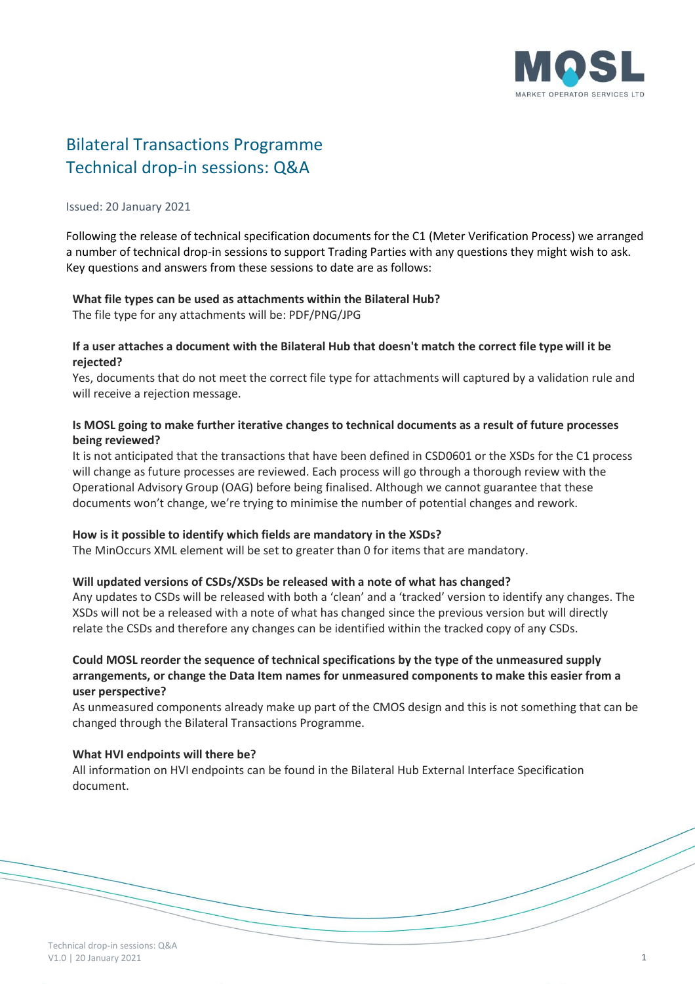

# Bilateral Transactions Programme Technical drop-in sessions: Q&A

#### Issued: 20 January 2021

Following the release of technical specification documents for the C1 (Meter Verification Process) we arranged a number of technical drop-in sessions to support Trading Parties with any questions they might wish to ask. Key questions and answers from these sessions to date are as follows:

# **What file types can be used as attachments within the Bilateral Hub?**

The file type for any attachments will be: PDF/PNG/JPG

## **If a user attaches a document with the Bilateral Hub that doesn't match the correct file type will it be rejected?**

Yes, documents that do not meet the correct file type for attachments will captured by a validation rule and will receive a rejection message.

# **Is MOSL going to make further iterative changes to technical documents as a result of future processes being reviewed?**

It is not anticipated that the transactions that have been defined in CSD0601 or the XSDs for the C1 process will change as future processes are reviewed. Each process will go through a thorough review with the Operational Advisory Group (OAG) before being finalised. Although we cannot guarantee that these documents won't change, we're trying to minimise the number of potential changes and rework.

#### **How is it possible to identify which fields are mandatory in the XSDs?**

The MinOccurs XML element will be set to greater than 0 for items that are mandatory.

#### **Will updated versions of CSDs/XSDs be released with a note of what has changed?**

Any updates to CSDs will be released with both a 'clean' and a 'tracked' version to identify any changes. The XSDs will not be a released with a note of what has changed since the previous version but will directly relate the CSDs and therefore any changes can be identified within the tracked copy of any CSDs.

# **Could MOSL reorder the sequence of technical specifications by the type of the unmeasured supply arrangements, or change the Data Item names for unmeasured components to make this easier from a user perspective?**

As unmeasured components already make up part of the CMOS design and this is not something that can be changed through the Bilateral Transactions Programme.

#### **What HVI endpoints will there be?**

All information on HVI endpoints can be found in the Bilateral Hub External Interface Specification document.

Technical drop-in sessions: Q&A V1.0 | 20 January 2021 **1**